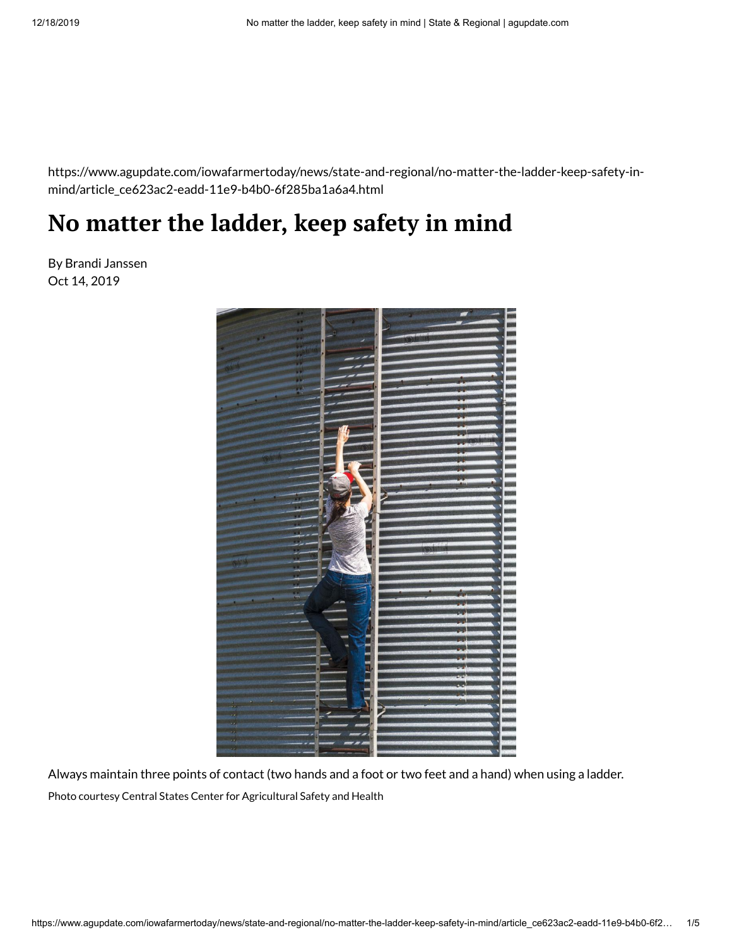https://www.agupdate.com/iowafarmertoday/news/state-and-regional/no-matter-the-ladder-keep-safety-inmind/article\_ce623ac2-eadd-11e9-b4b0-6f285ba1a6a4.html

## **No matter the ladder, keep safety in mind**

By Brandi Janssen Oct 14, 2019



Always maintain three points of contact (two hands and a foot or two feet and a hand) when using a ladder. Photo courtesy Central States Center for Agricultural Safety and Health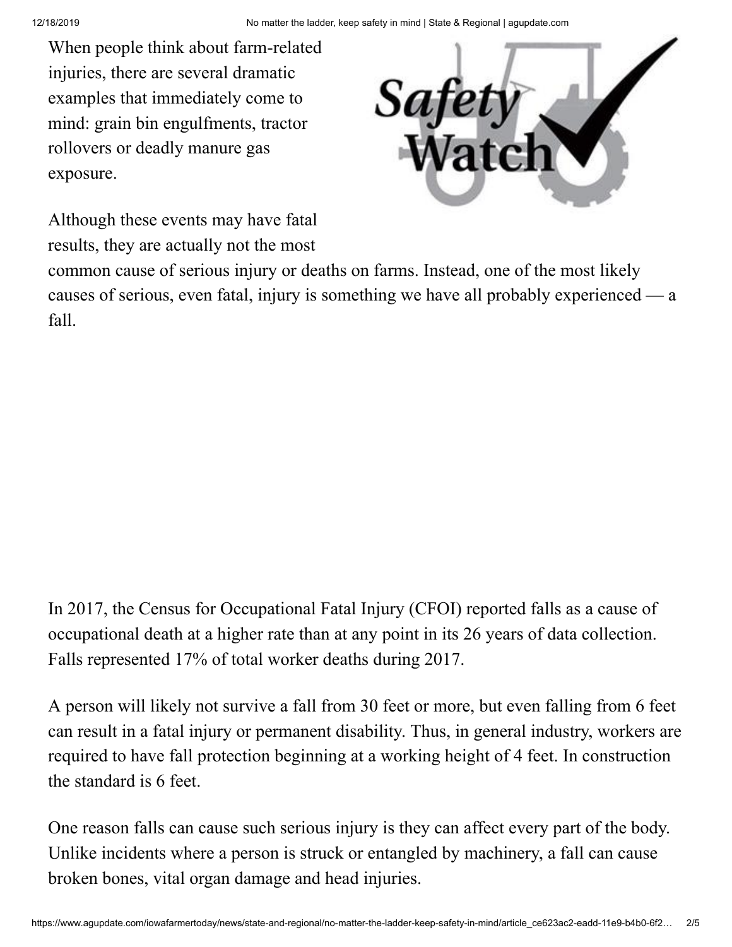When people think about farm-related injuries, there are several dramatic examples that immediately come to mind: grain bin engulfments, tractor rollovers or deadly manure gas exposure.



Although these events may have fatal results, they are actually not the most

common cause of serious injury or deaths on farms. Instead, one of the most likely causes of serious, even fatal, injury is something we have all probably experienced — a fall.

In 2017, the Census for Occupational Fatal Injury (CFOI) reported falls as a cause of occupational death at a higher rate than at any point in its 26 years of data collection. Falls represented 17% of total worker deaths during 2017.

A person will likely not survive a fall from 30 feet or more, but even falling from 6 feet can result in a fatal injury or permanent disability. Thus, in general industry, workers are required to have fall protection beginning at a working height of 4 feet. In construction the standard is 6 feet.

One reason falls can cause such serious injury is they can affect every part of the body. Unlike incidents where a person is struck or entangled by machinery, a fall can cause broken bones, vital organ damage and head injuries.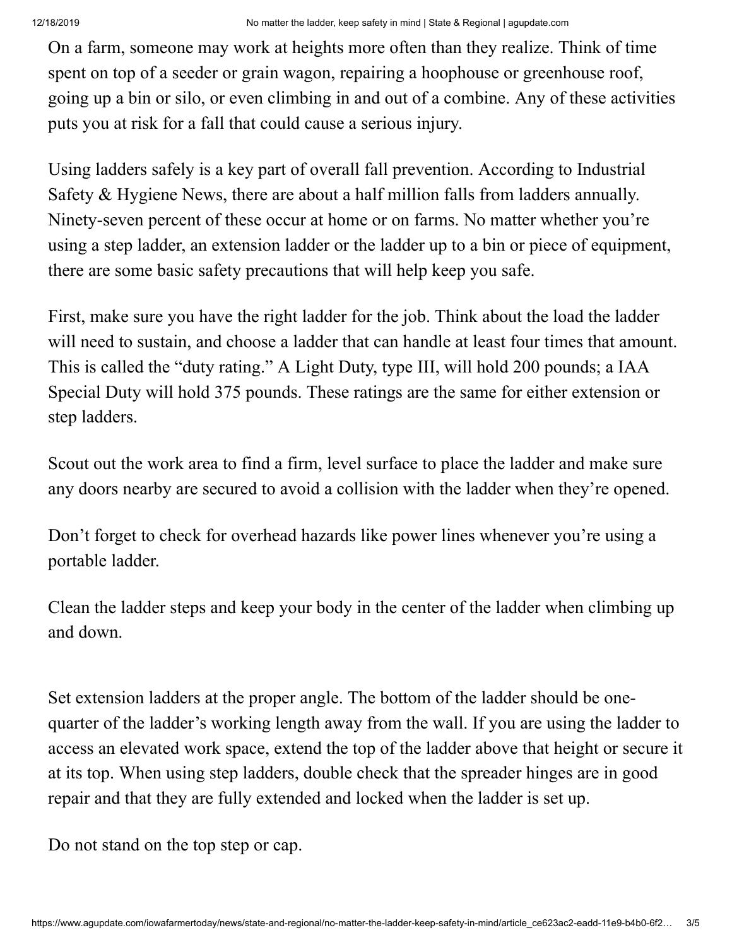On a farm, someone may work at heights more often than they realize. Think of time spent on top of a seeder or grain wagon, repairing a hoophouse or greenhouse roof, going up a bin or silo, or even climbing in and out of a combine. Any of these activities puts you at risk for a fall that could cause a serious injury.

Using ladders safely is a key part of overall fall prevention. According to Industrial Safety & Hygiene News, there are about a half million falls from ladders annually. Ninety-seven percent of these occur at home or on farms. No matter whether you're using a step ladder, an extension ladder or the ladder up to a bin or piece of equipment, there are some basic safety precautions that will help keep you safe.

First, make sure you have the right ladder for the job. Think about the load the ladder will need to sustain, and choose a ladder that can handle at least four times that amount. This is called the "duty rating." A Light Duty, type III, will hold 200 pounds; a IAA Special Duty will hold 375 pounds. These ratings are the same for either extension or step ladders.

Scout out the work area to find a firm, level surface to place the ladder and make sure any doors nearby are secured to avoid a collision with the ladder when they're opened.

Don't forget to check for overhead hazards like power lines whenever you're using a portable ladder.

Clean the ladder steps and keep your body in the center of the ladder when climbing up and down.

Set extension ladders at the proper angle. The bottom of the ladder should be onequarter of the ladder's working length away from the wall. If you are using the ladder to access an elevated work space, extend the top of the ladder above that height or secure it at its top. When using step ladders, double check that the spreader hinges are in good repair and that they are fully extended and locked when the ladder is set up.

Do not stand on the top step or cap.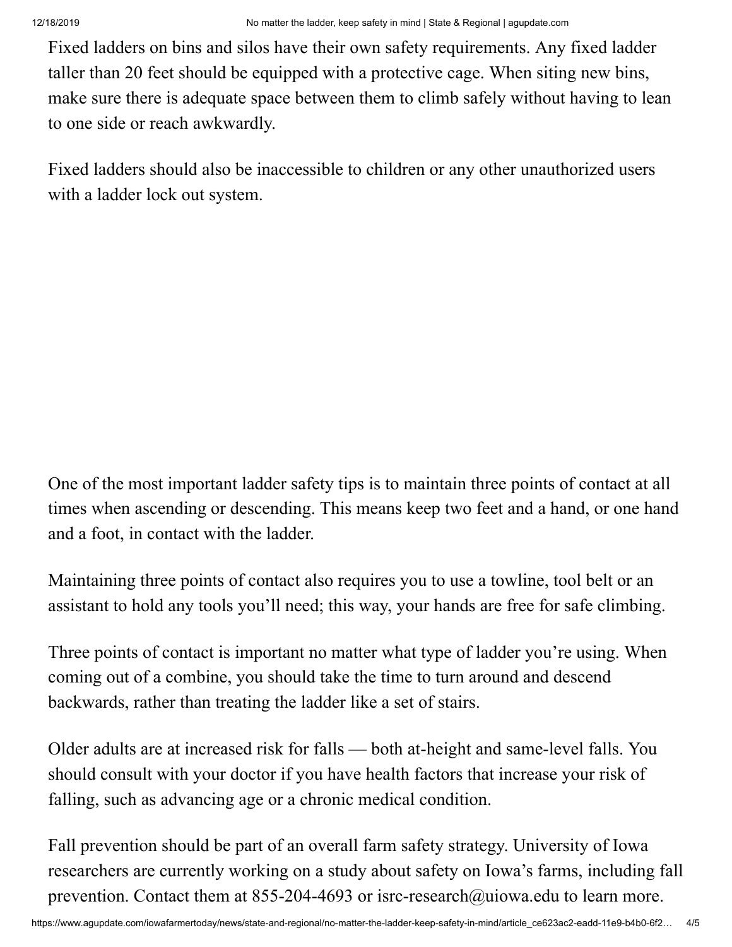Fixed ladders on bins and silos have their own safety requirements. Any fixed ladder taller than 20 feet should be equipped with a protective cage. When siting new bins, make sure there is adequate space between them to climb safely without having to lean to one side or reach awkwardly.

Fixed ladders should also be inaccessible to children or any other unauthorized users with a ladder lock out system.

One of the most important ladder safety tips is to maintain three points of contact at all times when ascending or descending. This means keep two feet and a hand, or one hand and a foot, in contact with the ladder.

Maintaining three points of contact also requires you to use a towline, tool belt or an assistant to hold any tools you'll need; this way, your hands are free for safe climbing.

Three points of contact is important no matter what type of ladder you're using. When coming out of a combine, you should take the time to turn around and descend backwards, rather than treating the ladder like a set of stairs.

Older adults are at increased risk for falls — both at-height and same-level falls. You should consult with your doctor if you have health factors that increase your risk of falling, such as advancing age or a chronic medical condition.

Fall prevention should be part of an overall farm safety strategy. University of Iowa researchers are currently working on a study about safety on Iowa's farms, including fall prevention. Contact them at 855-204-4693 or [isrc-research@uiowa.edu](mailto:isrc-research@uiowa.edu) to learn more.